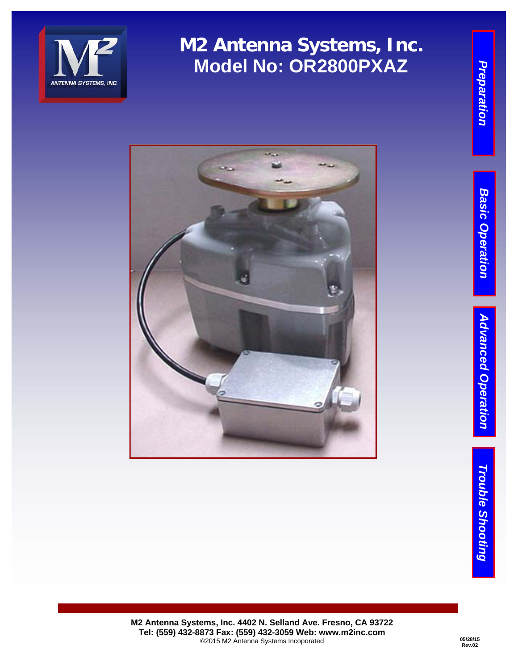





Preparation

**M2 Antenna Systems, Inc. 4402 N. Selland Ave. Fresno, CA 93722 Tel: (559) 432-8873 Fax: (559) 432-3059 Web: www.m2inc.com**  ©2015 M2 Antenna Systems Incoporated **05/28/15** 

**Rev.02**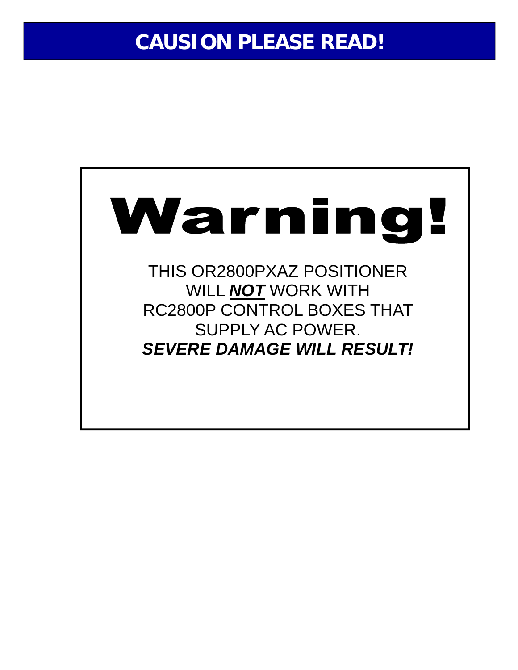# **CAUSION PLEASE READ!**

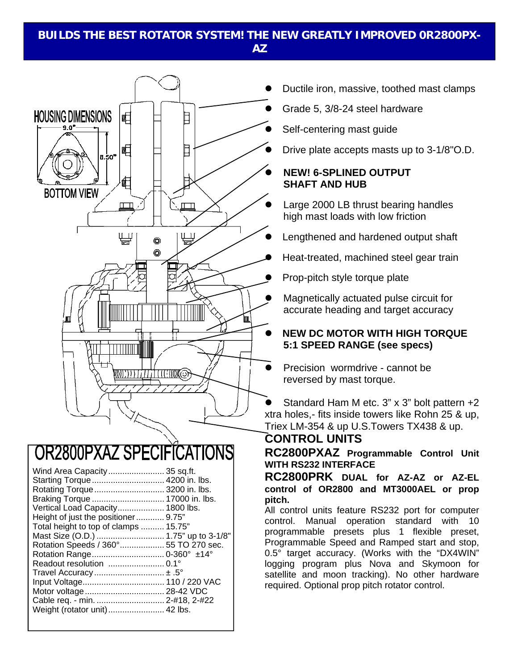#### **BUILDS THE BEST ROTATOR SYSTEM! THE NEW GREATLY IMPROVED 0R2800PX-AZ**



## OR2800PXAZ SPECIFICATIONS

| Wind Area Capacity 35 sq.ft.          |  |
|---------------------------------------|--|
| Starting Torque  4200 in. lbs.        |  |
| Rotating Torque  3200 in. lbs.        |  |
|                                       |  |
| Vertical Load Capacity 1800 lbs.      |  |
| Height of just the positioner 9.75"   |  |
| Total height to top of clamps  15.75" |  |
| Mast Size (O.D.)  1.75" up to 3-1/8"  |  |
| Rotation Speeds / 360° 55 TO 270 sec. |  |
| Rotation Range 0-360° ±14°            |  |
|                                       |  |
|                                       |  |
| Input Voltage 110 / 220 VAC           |  |
|                                       |  |
| Cable req. - min.  2-#18, 2-#22       |  |
| Weight (rotator unit)  42 lbs.        |  |
|                                       |  |

- Ductile iron, massive, toothed mast clamps
- Grade 5, 3/8-24 steel hardware
- Self-centering mast guide
- Drive plate accepts masts up to 3-1/8"O.D.

#### **NEW! 6-SPLINED OUTPUT SHAFT AND HUB**

- Large 2000 LB thrust bearing handles high mast loads with low friction
- Lengthened and hardened output shaft
- Heat-treated, machined steel gear train
- Prop-pitch style torque plate
- Magnetically actuated pulse circuit for accurate heading and target accuracy

#### **NEW DC MOTOR WITH HIGH TORQUE 5:1 SPEED RANGE (see specs)**

Precision wormdrive - cannot be reversed by mast torque.

 Standard Ham M etc. 3" x 3" bolt pattern +2 xtra holes,- fits inside towers like Rohn 25 & up, Triex LM-354 & up U.S.Towers TX438 & up.

### **CONTROL UNITS**

**RC2800PXAZ Programmable Control Unit WITH RS232 INTERFACE** 

**RC2800PRK DUAL for AZ-AZ or AZ-EL control of OR2800 and MT3000AEL or prop pitch.** 

All control units feature RS232 port for computer control. Manual operation standard with 10 programmable presets plus 1 flexible preset, Programmable Speed and Ramped start and stop, 0.5° target accuracy. (Works with the "DX4WIN" logging program plus Nova and Skymoon for satellite and moon tracking). No other hardware required. Optional prop pitch rotator control.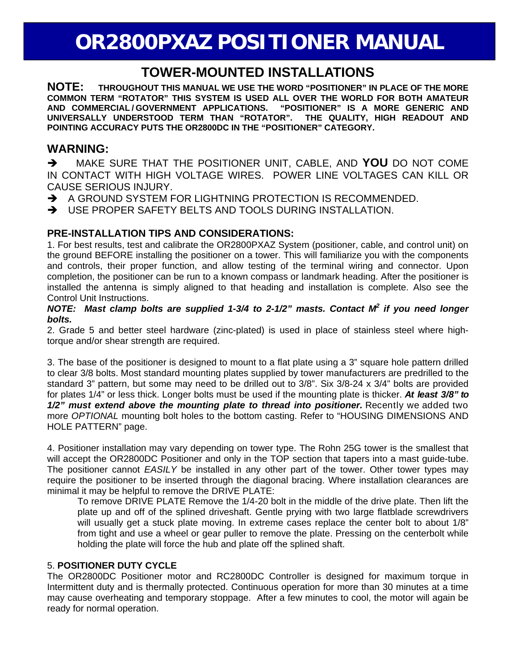## **OR2800PXAZ POSITIONER MANUAL**

### **TOWER-MOUNTED INSTALLATIONS**

**NOTE: THROUGHOUT THIS MANUAL WE USE THE WORD "POSITIONER" IN PLACE OF THE MORE COMMON TERM "ROTATOR" THIS SYSTEM IS USED ALL OVER THE WORLD FOR BOTH AMATEUR AND COMMERCIAL/GOVERNMENT APPLICATIONS. UNIVERSALLY UNDERSTOOD TERM THAN "ROTATOR". THE QUALITY, HIGH READOUT AND POINTING ACCURACY PUTS THE OR2800DC IN THE "POSITIONER" CATEGORY.** 

### **WARNING:**

 MAKE SURE THAT THE POSITIONER UNIT, CABLE, AND **YOU** DO NOT COME IN CONTACT WITH HIGH VOLTAGE WIRES. POWER LINE VOLTAGES CAN KILL OR CAUSE SERIOUS INJURY.

A GROUND SYSTEM FOR LIGHTNING PROTECTION IS RECOMMENDED.

 $\rightarrow$  USE PROPER SAFETY BELTS AND TOOLS DURING INSTALLATION.

#### **PRE-INSTALLATION TIPS AND CONSIDERATIONS:**

1. For best results, test and calibrate the OR2800PXAZ System (positioner, cable, and control unit) on the ground BEFORE installing the positioner on a tower. This will familiarize you with the components and controls, their proper function, and allow testing of the terminal wiring and connector. Upon completion, the positioner can be run to a known compass or landmark heading. After the positioner is installed the antenna is simply aligned to that heading and installation is complete. Also see the Control Unit Instructions.

#### NOTE: Mast clamp bolts are supplied 1-3/4 to 2-1/2" masts. Contact M<sup>2</sup> if you need longer *bolts.*

2. Grade 5 and better steel hardware (zinc-plated) is used in place of stainless steel where hightorque and/or shear strength are required.

3. The base of the positioner is designed to mount to a flat plate using a 3" square hole pattern drilled to clear 3/8 bolts. Most standard mounting plates supplied by tower manufacturers are predrilled to the standard 3" pattern, but some may need to be drilled out to 3/8". Six 3/8-24 x 3/4" bolts are provided for plates 1/4" or less thick. Longer bolts must be used if the mounting plate is thicker. *At least 3/8" to 1/2" must extend above the mounting plate to thread into positioner.* Recently we added two more *OPTIONAL* mounting bolt holes to the bottom casting. Refer to "HOUSING DIMENSIONS AND HOLE PATTERN" page.

4. Positioner installation may vary depending on tower type. The Rohn 25G tower is the smallest that will accept the OR2800DC Positioner and only in the TOP section that tapers into a mast guide-tube. The positioner cannot *EASILY* be installed in any other part of the tower. Other tower types may require the positioner to be inserted through the diagonal bracing. Where installation clearances are minimal it may be helpful to remove the DRIVE PLATE:

To remove DRIVE PLATE Remove the 1/4-20 bolt in the middle of the drive plate. Then lift the plate up and off of the splined driveshaft. Gentle prying with two large flatblade screwdrivers will usually get a stuck plate moving. In extreme cases replace the center bolt to about 1/8" from tight and use a wheel or gear puller to remove the plate. Pressing on the centerbolt while holding the plate will force the hub and plate off the splined shaft.

#### 5. **POSITIONER DUTY CYCLE**

The OR2800DC Positioner motor and RC2800DC Controller is designed for maximum torque in Intermittent duty and is thermally protected. Continuous operation for more than 30 minutes at a time may cause overheating and temporary stoppage. After a few minutes to cool, the motor will again be ready for normal operation.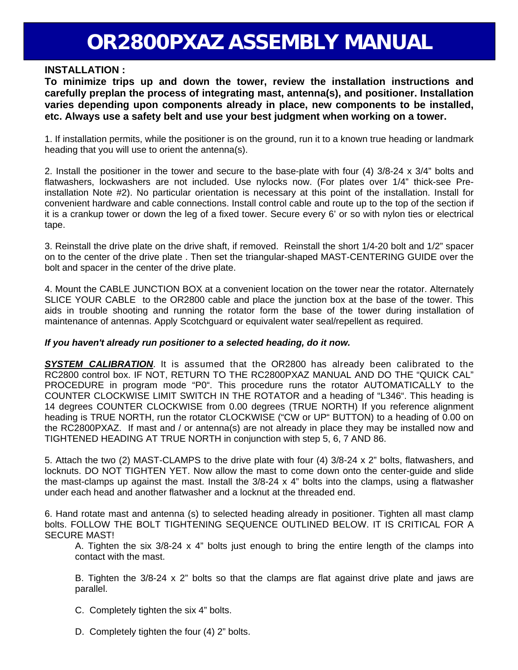#### **INSTALLATION :**

**To minimize trips up and down the tower, review the installation instructions and carefully preplan the process of integrating mast, antenna(s), and positioner. Installation varies depending upon components already in place, new components to be installed, etc. Always use a safety belt and use your best judgment when working on a tower.** 

1. If installation permits, while the positioner is on the ground, run it to a known true heading or landmark heading that you will use to orient the antenna(s).

2. Install the positioner in the tower and secure to the base-plate with four (4) 3/8-24 x 3/4" bolts and flatwashers, lockwashers are not included. Use nylocks now. (For plates over 1/4" thick-see Preinstallation Note #2). No particular orientation is necessary at this point of the installation. Install for convenient hardware and cable connections. Install control cable and route up to the top of the section if it is a crankup tower or down the leg of a fixed tower. Secure every 6' or so with nylon ties or electrical tape.

3. Reinstall the drive plate on the drive shaft, if removed. Reinstall the short 1/4-20 bolt and 1/2" spacer on to the center of the drive plate . Then set the triangular-shaped MAST-CENTERING GUIDE over the bolt and spacer in the center of the drive plate.

4. Mount the CABLE JUNCTION BOX at a convenient location on the tower near the rotator. Alternately SLICE YOUR CABLE to the OR2800 cable and place the junction box at the base of the tower. This aids in trouble shooting and running the rotator form the base of the tower during installation of maintenance of antennas. Apply Scotchguard or equivalent water seal/repellent as required.

#### *If you haven't already run positioner to a selected heading, do it now.*

*SYSTEM CALIBRATION*. It is assumed that the OR2800 has already been calibrated to the RC2800 control box. IF NOT, RETURN TO THE RC2800PXAZ MANUAL AND DO THE "QUICK CAL" PROCEDURE in program mode "P0". This procedure runs the rotator AUTOMATICALLY to the COUNTER CLOCKWISE LIMIT SWITCH IN THE ROTATOR and a heading of "L346". This heading is 14 degrees COUNTER CLOCKWISE from 0.00 degrees (TRUE NORTH) If you reference alignment heading is TRUE NORTH, run the rotator CLOCKWISE ("CW or UP" BUTTON) to a heading of 0.00 on the RC2800PXAZ. If mast and / or antenna(s) are not already in place they may be installed now and TIGHTENED HEADING AT TRUE NORTH in conjunction with step 5, 6, 7 AND 86.

5. Attach the two (2) MAST-CLAMPS to the drive plate with four (4) 3/8-24 x 2" bolts, flatwashers, and locknuts. DO NOT TIGHTEN YET. Now allow the mast to come down onto the center-guide and slide the mast-clamps up against the mast. Install the 3/8-24 x 4" bolts into the clamps, using a flatwasher under each head and another flatwasher and a locknut at the threaded end.

6. Hand rotate mast and antenna (s) to selected heading already in positioner. Tighten all mast clamp bolts. FOLLOW THE BOLT TIGHTENING SEQUENCE OUTLINED BELOW. IT IS CRITICAL FOR A SECURE MAST!

A. Tighten the six 3/8-24 x 4" bolts just enough to bring the entire length of the clamps into contact with the mast.

B. Tighten the  $3/8-24 \times 2$ " bolts so that the clamps are flat against drive plate and jaws are parallel.

- C. Completely tighten the six 4" bolts.
- D. Completely tighten the four (4) 2" bolts.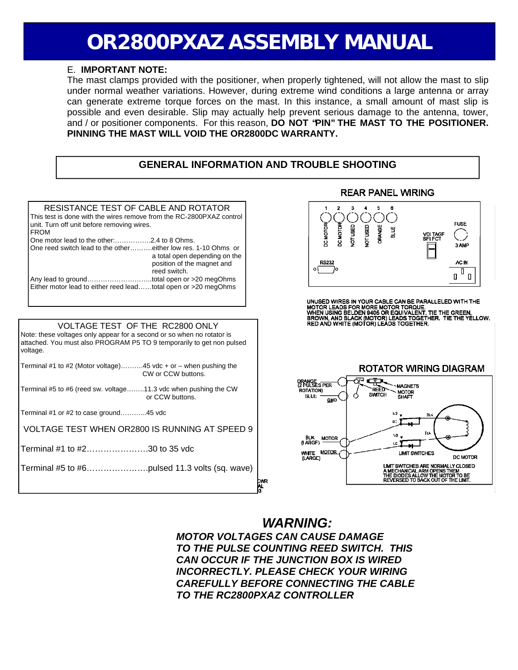#### E. **IMPORTANT NOTE:**

The mast clamps provided with the positioner, when properly tightened, will not allow the mast to slip under normal weather variations. However, during extreme wind conditions a large antenna or array can generate extreme torque forces on the mast. In this instance, a small amount of mast slip is possible and even desirable. Slip may actually help prevent serious damage to the antenna, tower, and / or positioner components. For this reason, **DO NOT "PIN" THE MAST TO THE POSITIONER. PINNING THE MAST WILL VOID THE OR2800DC WARRANTY.**

#### **GENERAL INFORMATION AND TROUBLE SHOOTING**



### *WARNING:*

*MOTOR VOLTAGES CAN CAUSE DAMAGE TO THE PULSE COUNTING REED SWITCH. THIS CAN OCCUR IF THE JUNCTION BOX IS WIRED INCORRECTLY. PLEASE CHECK YOUR WIRING CAREFULLY BEFORE CONNECTING THE CABLE TO THE RC2800PXAZ CONTROLLER*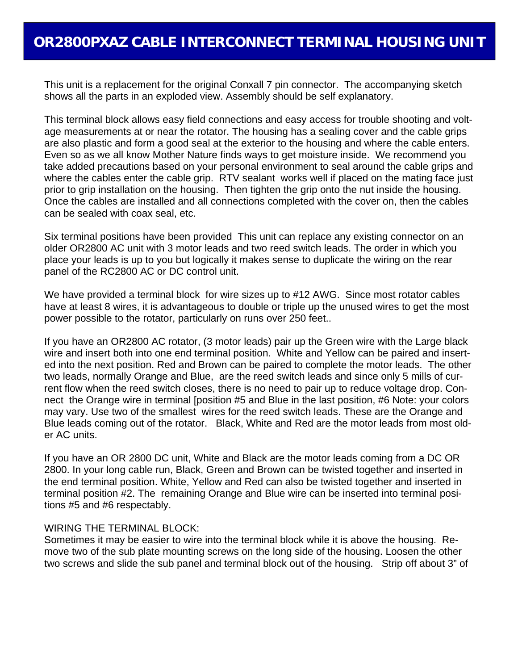This unit is a replacement for the original Conxall 7 pin connector. The accompanying sketch shows all the parts in an exploded view. Assembly should be self explanatory.

This terminal block allows easy field connections and easy access for trouble shooting and voltage measurements at or near the rotator. The housing has a sealing cover and the cable grips are also plastic and form a good seal at the exterior to the housing and where the cable enters. Even so as we all know Mother Nature finds ways to get moisture inside. We recommend you take added precautions based on your personal environment to seal around the cable grips and where the cables enter the cable grip. RTV sealant works well if placed on the mating face just prior to grip installation on the housing. Then tighten the grip onto the nut inside the housing. Once the cables are installed and all connections completed with the cover on, then the cables can be sealed with coax seal, etc.

Six terminal positions have been provided This unit can replace any existing connector on an older OR2800 AC unit with 3 motor leads and two reed switch leads. The order in which you place your leads is up to you but logically it makes sense to duplicate the wiring on the rear panel of the RC2800 AC or DC control unit.

We have provided a terminal block for wire sizes up to #12 AWG. Since most rotator cables have at least 8 wires, it is advantageous to double or triple up the unused wires to get the most power possible to the rotator, particularly on runs over 250 feet..

If you have an OR2800 AC rotator, (3 motor leads) pair up the Green wire with the Large black wire and insert both into one end terminal position. White and Yellow can be paired and inserted into the next position. Red and Brown can be paired to complete the motor leads. The other two leads, normally Orange and Blue, are the reed switch leads and since only 5 mills of current flow when the reed switch closes, there is no need to pair up to reduce voltage drop. Connect the Orange wire in terminal [position #5 and Blue in the last position, #6 Note: your colors may vary. Use two of the smallest wires for the reed switch leads. These are the Orange and Blue leads coming out of the rotator. Black, White and Red are the motor leads from most older AC units.

If you have an OR 2800 DC unit, White and Black are the motor leads coming from a DC OR 2800. In your long cable run, Black, Green and Brown can be twisted together and inserted in the end terminal position. White, Yellow and Red can also be twisted together and inserted in terminal position #2. The remaining Orange and Blue wire can be inserted into terminal positions #5 and #6 respectably.

#### WIRING THE TERMINAL BLOCK:

Sometimes it may be easier to wire into the terminal block while it is above the housing. Remove two of the sub plate mounting screws on the long side of the housing. Loosen the other two screws and slide the sub panel and terminal block out of the housing. Strip off about 3" of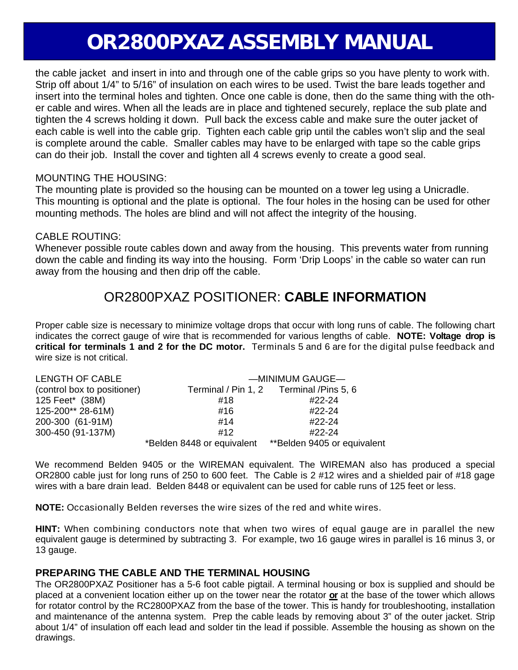the cable jacket and insert in into and through one of the cable grips so you have plenty to work with. Strip off about 1/4" to 5/16" of insulation on each wires to be used. Twist the bare leads together and insert into the terminal holes and tighten. Once one cable is done, then do the same thing with the other cable and wires. When all the leads are in place and tightened securely, replace the sub plate and tighten the 4 screws holding it down. Pull back the excess cable and make sure the outer jacket of each cable is well into the cable grip. Tighten each cable grip until the cables won't slip and the seal is complete around the cable. Smaller cables may have to be enlarged with tape so the cable grips can do their job. Install the cover and tighten all 4 screws evenly to create a good seal.

#### MOUNTING THE HOUSING:

The mounting plate is provided so the housing can be mounted on a tower leg using a Unicradle. This mounting is optional and the plate is optional. The four holes in the hosing can be used for other mounting methods. The holes are blind and will not affect the integrity of the housing.

#### CABLE ROUTING:

Whenever possible route cables down and away from the housing. This prevents water from running down the cable and finding its way into the housing. Form 'Drip Loops' in the cable so water can run away from the housing and then drip off the cable.

### OR2800PXAZ POSITIONER: **CABLE INFORMATION**

Proper cable size is necessary to minimize voltage drops that occur with long runs of cable. The following chart indicates the correct gauge of wire that is recommended for various lengths of cable. **NOTE: Voltage drop is critical for terminals 1 and 2 for the DC motor.** Terminals 5 and 6 are for the digital pulse feedback and wire size is not critical.

| LENGTH OF CABLE             | -MINIMUM GAUGE                                         |                                          |
|-----------------------------|--------------------------------------------------------|------------------------------------------|
| (control box to positioner) |                                                        | Terminal / Pin 1, 2 Terminal / Pins 5, 6 |
| 125 Feet* (38M)             | #18                                                    | #22-24                                   |
| 125-200** 28-61M)           | #16                                                    | #22-24                                   |
| 200-300 (61-91M)            | #14                                                    | #22-24                                   |
| 300-450 (91-137M)           | #12                                                    | #22-24                                   |
|                             | *Belden 8448 or equivalent **Belden 9405 or equivalent |                                          |

We recommend Belden 9405 or the WIREMAN equivalent. The WIREMAN also has produced a special OR2800 cable just for long runs of 250 to 600 feet. The Cable is 2 #12 wires and a shielded pair of #18 gage wires with a bare drain lead. Belden 8448 or equivalent can be used for cable runs of 125 feet or less.

**NOTE:** Occasionally Belden reverses the wire sizes of the red and white wires.

**HINT:** When combining conductors note that when two wires of equal gauge are in parallel the new equivalent gauge is determined by subtracting 3. For example, two 16 gauge wires in parallel is 16 minus 3, or 13 gauge.

#### **PREPARING THE CABLE AND THE TERMINAL HOUSING**

The OR2800PXAZ Positioner has a 5-6 foot cable pigtail. A terminal housing or box is supplied and should be placed at a convenient location either up on the tower near the rotator **or** at the base of the tower which allows for rotator control by the RC2800PXAZ from the base of the tower. This is handy for troubleshooting, installation and maintenance of the antenna system. Prep the cable leads by removing about 3" of the outer jacket. Strip about 1/4" of insulation off each lead and solder tin the lead if possible. Assemble the housing as shown on the drawings.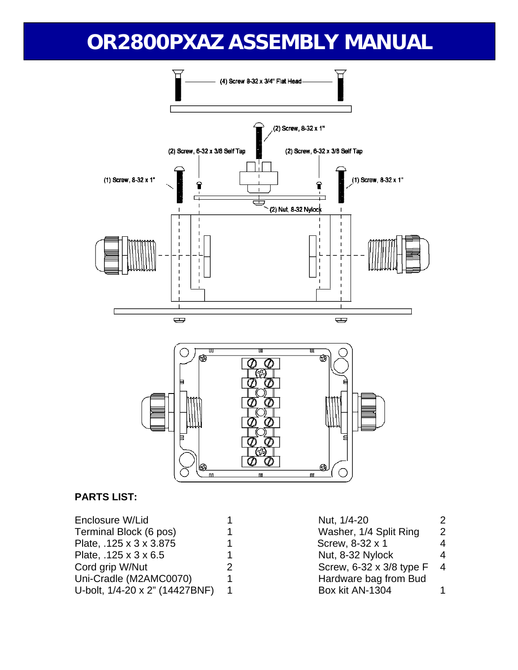



#### **PARTS LIST:**

| Nut, 1/4-20                | 2.            |
|----------------------------|---------------|
| Washer, 1/4 Split Ring     | $\mathcal{P}$ |
| Screw, 8-32 x 1            | 4             |
| Nut, 8-32 Nylock           | 4             |
| Screw, 6-32 x 3/8 type F 4 |               |
| Hardware bag from Bud      |               |
| Box kit AN-1304            |               |
|                            |               |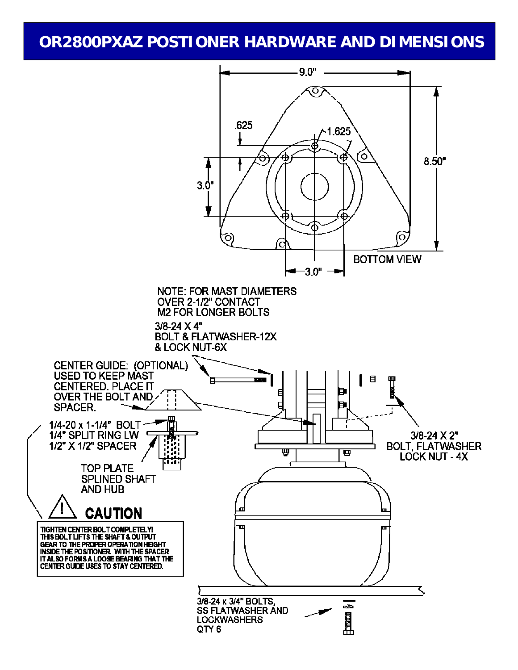### **OR2800PXAZ POSTIONER HARDWARE AND DIMENSIONS**